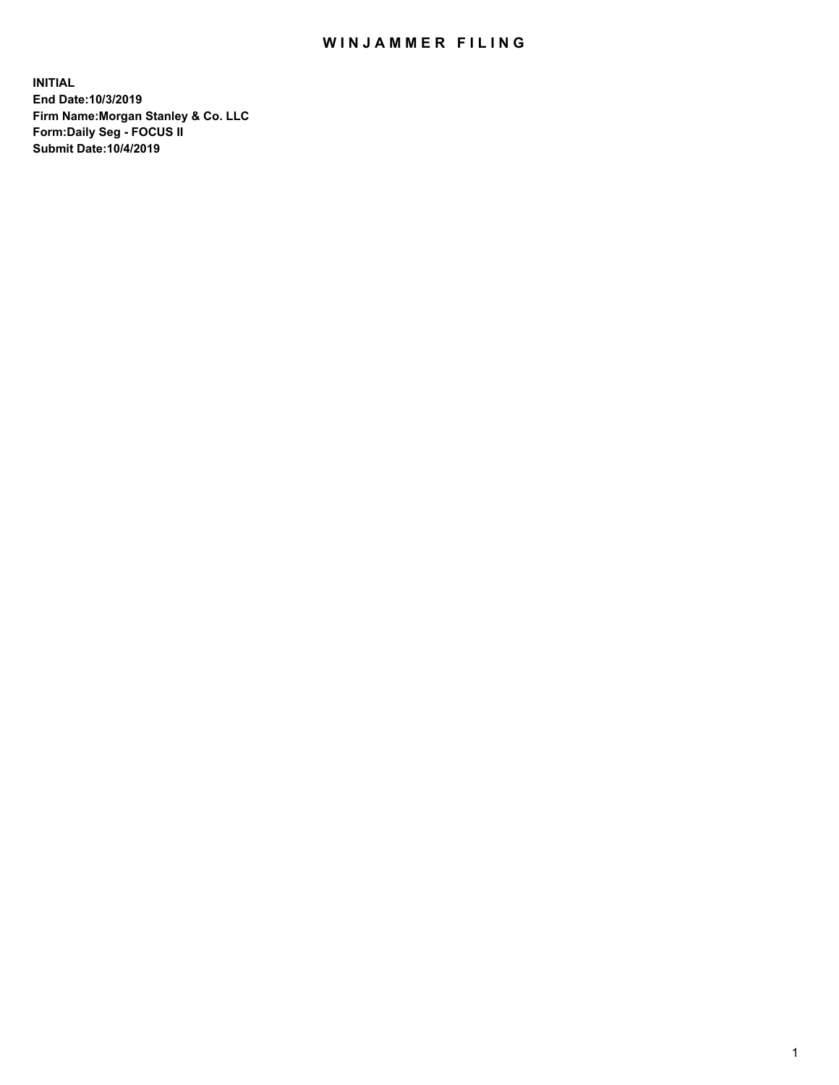## WIN JAMMER FILING

**INITIAL End Date:10/3/2019 Firm Name:Morgan Stanley & Co. LLC Form:Daily Seg - FOCUS II Submit Date:10/4/2019**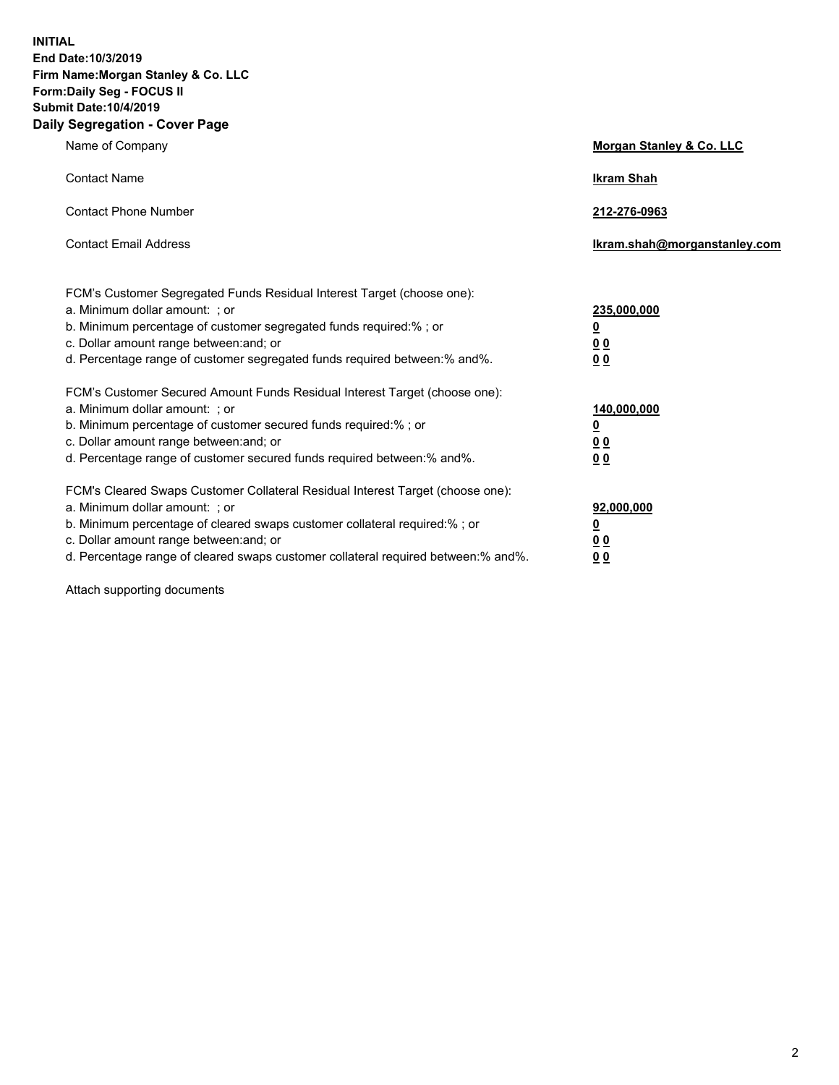**INITIAL End Date:10/3/2019 Firm Name:Morgan Stanley & Co. LLC Form:Daily Seg - FOCUS II Submit Date:10/4/2019 Daily Segregation - Cover Page**

| Name of Company                                                                                                                                                                                                                                                                                                                | Morgan Stanley & Co. LLC                               |
|--------------------------------------------------------------------------------------------------------------------------------------------------------------------------------------------------------------------------------------------------------------------------------------------------------------------------------|--------------------------------------------------------|
| <b>Contact Name</b>                                                                                                                                                                                                                                                                                                            | <b>Ikram Shah</b>                                      |
| <b>Contact Phone Number</b>                                                                                                                                                                                                                                                                                                    | 212-276-0963                                           |
| <b>Contact Email Address</b>                                                                                                                                                                                                                                                                                                   | lkram.shah@morganstanley.com                           |
| FCM's Customer Segregated Funds Residual Interest Target (choose one):<br>a. Minimum dollar amount: ; or<br>b. Minimum percentage of customer segregated funds required:% ; or<br>c. Dollar amount range between: and; or<br>d. Percentage range of customer segregated funds required between:% and%.                         | 235,000,000<br><u>0</u><br><u>0 0</u><br>0 Q           |
| FCM's Customer Secured Amount Funds Residual Interest Target (choose one):<br>a. Minimum dollar amount: ; or<br>b. Minimum percentage of customer secured funds required:%; or<br>c. Dollar amount range between: and; or<br>d. Percentage range of customer secured funds required between:% and%.                            | 140,000,000<br><u>0</u><br><u>00</u><br>0 <sub>0</sub> |
| FCM's Cleared Swaps Customer Collateral Residual Interest Target (choose one):<br>a. Minimum dollar amount: ; or<br>b. Minimum percentage of cleared swaps customer collateral required:% ; or<br>c. Dollar amount range between: and; or<br>d. Percentage range of cleared swaps customer collateral required between:% and%. | 92,000,000<br><u>0</u><br><u>00</u><br>0 <sup>0</sup>  |

Attach supporting documents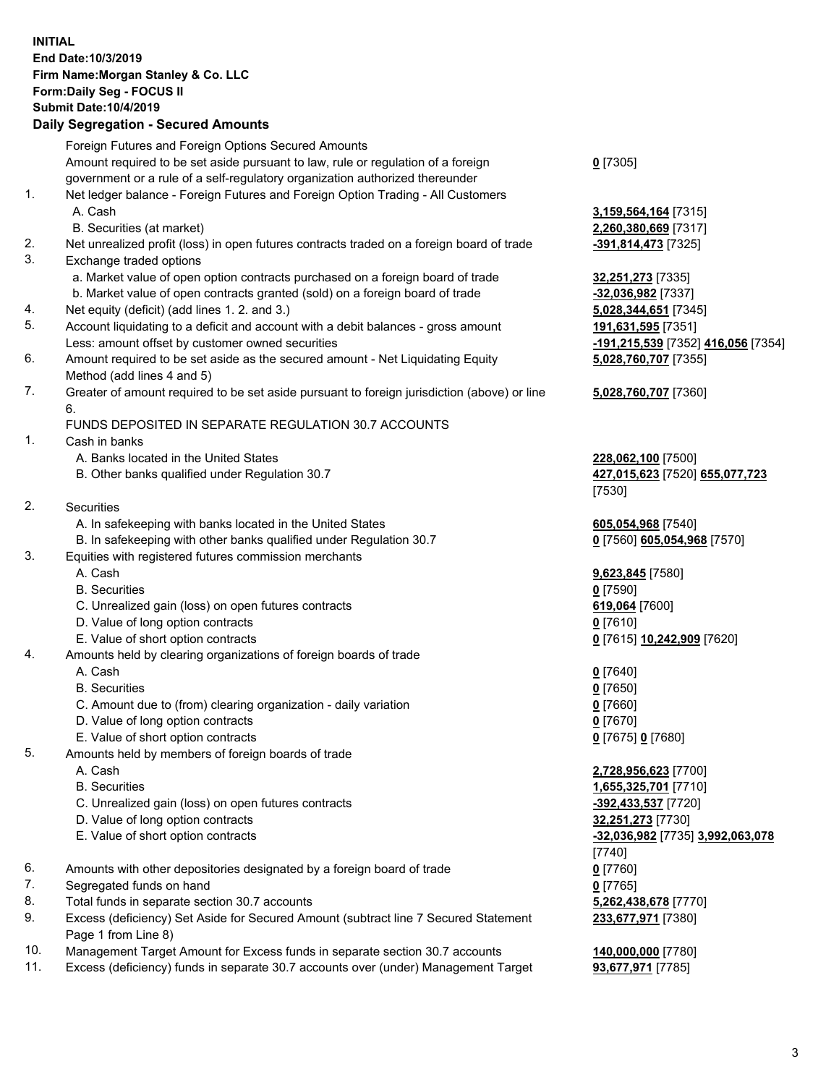## **INITIAL End Date:10/3/2019 Firm Name:Morgan Stanley & Co. LLC Form:Daily Seg - FOCUS II Submit Date:10/4/2019**

## **Daily Segregation - Secured Amounts**

|                | Foreign Futures and Foreign Options Secured Amounts                                         |                                              |
|----------------|---------------------------------------------------------------------------------------------|----------------------------------------------|
|                | Amount required to be set aside pursuant to law, rule or regulation of a foreign            | $0$ [7305]                                   |
|                | government or a rule of a self-regulatory organization authorized thereunder                |                                              |
| 1.             | Net ledger balance - Foreign Futures and Foreign Option Trading - All Customers             |                                              |
|                | A. Cash                                                                                     | 3,159,564,164 [7315]                         |
|                | B. Securities (at market)                                                                   | 2,260,380,669 [7317]                         |
| 2.             | Net unrealized profit (loss) in open futures contracts traded on a foreign board of trade   | -391,814,473 [7325]                          |
| 3.             | Exchange traded options                                                                     |                                              |
|                | a. Market value of open option contracts purchased on a foreign board of trade              | 32,251,273 [7335]                            |
|                | b. Market value of open contracts granted (sold) on a foreign board of trade                | -32,036,982 [7337]                           |
| 4.             | Net equity (deficit) (add lines 1.2. and 3.)                                                | 5,028,344,651 [7345]                         |
| 5.             | Account liquidating to a deficit and account with a debit balances - gross amount           | 191,631,595 [7351]                           |
|                | Less: amount offset by customer owned securities                                            | -191,215,539 [7352] 416,056 [7354]           |
| 6.             | Amount required to be set aside as the secured amount - Net Liquidating Equity              | 5,028,760,707 [7355]                         |
|                | Method (add lines 4 and 5)                                                                  |                                              |
| 7.             | Greater of amount required to be set aside pursuant to foreign jurisdiction (above) or line | 5,028,760,707 [7360]                         |
|                | 6.                                                                                          |                                              |
|                | FUNDS DEPOSITED IN SEPARATE REGULATION 30.7 ACCOUNTS                                        |                                              |
| 1.             | Cash in banks                                                                               |                                              |
|                | A. Banks located in the United States                                                       | 228,062,100 [7500]                           |
|                | B. Other banks qualified under Regulation 30.7                                              | 427,015,623 [7520] 655,077,723               |
|                |                                                                                             | $[7530]$                                     |
| 2.             | Securities                                                                                  |                                              |
|                | A. In safekeeping with banks located in the United States                                   | 605,054,968 [7540]                           |
|                | B. In safekeeping with other banks qualified under Regulation 30.7                          | 0 [7560] 605,054,968 [7570]                  |
| 3.             | Equities with registered futures commission merchants                                       |                                              |
|                | A. Cash                                                                                     | 9,623,845 [7580]                             |
|                | <b>B.</b> Securities                                                                        | $0$ [7590]                                   |
|                | C. Unrealized gain (loss) on open futures contracts                                         | 619,064 [7600]                               |
|                | D. Value of long option contracts                                                           | $0$ [7610]                                   |
|                | E. Value of short option contracts                                                          | 0 [7615] 10,242,909 [7620]                   |
| 4.             | Amounts held by clearing organizations of foreign boards of trade                           |                                              |
|                | A. Cash                                                                                     | $0$ [7640]                                   |
|                | <b>B.</b> Securities                                                                        | $0$ [7650]                                   |
|                | C. Amount due to (from) clearing organization - daily variation                             | $0$ [7660]                                   |
|                | D. Value of long option contracts                                                           | $0$ [7670]                                   |
|                | E. Value of short option contracts                                                          | 0 [7675] 0 [7680]                            |
| 5.             | Amounts held by members of foreign boards of trade                                          |                                              |
|                | A. Cash                                                                                     | 2,728,956,623 [7700]                         |
|                | <b>B.</b> Securities                                                                        | 1,655,325,701 [7710]                         |
|                | C. Unrealized gain (loss) on open futures contracts                                         | -392,433,537 [7720]                          |
|                | D. Value of long option contracts                                                           | 32,251,273 [7730]                            |
|                | E. Value of short option contracts                                                          | -32,036,982 [7735] 3,992,063,078             |
|                |                                                                                             | $[7740]$                                     |
| 6.             | Amounts with other depositories designated by a foreign board of trade                      | $0$ [7760]                                   |
| 7.             | Segregated funds on hand                                                                    | $0$ [7765]                                   |
| 8.             | Total funds in separate section 30.7 accounts                                               | 5,262,438,678 [7770]                         |
| 9.             | Excess (deficiency) Set Aside for Secured Amount (subtract line 7 Secured Statement         | 233,677,971 [7380]                           |
|                | Page 1 from Line 8)                                                                         |                                              |
| $\overline{A}$ | $\pm$ Approach for Freezer funds in a consistent and the OO 7 approximately                 | $\overline{110}$ and and $\overline{177001}$ |

- 10. Management Target Amount for Excess funds in separate section 30.7 accounts **140,000,000** [7780]
- 11. Excess (deficiency) funds in separate 30.7 accounts over (under) Management Target **93,677,971** [7785]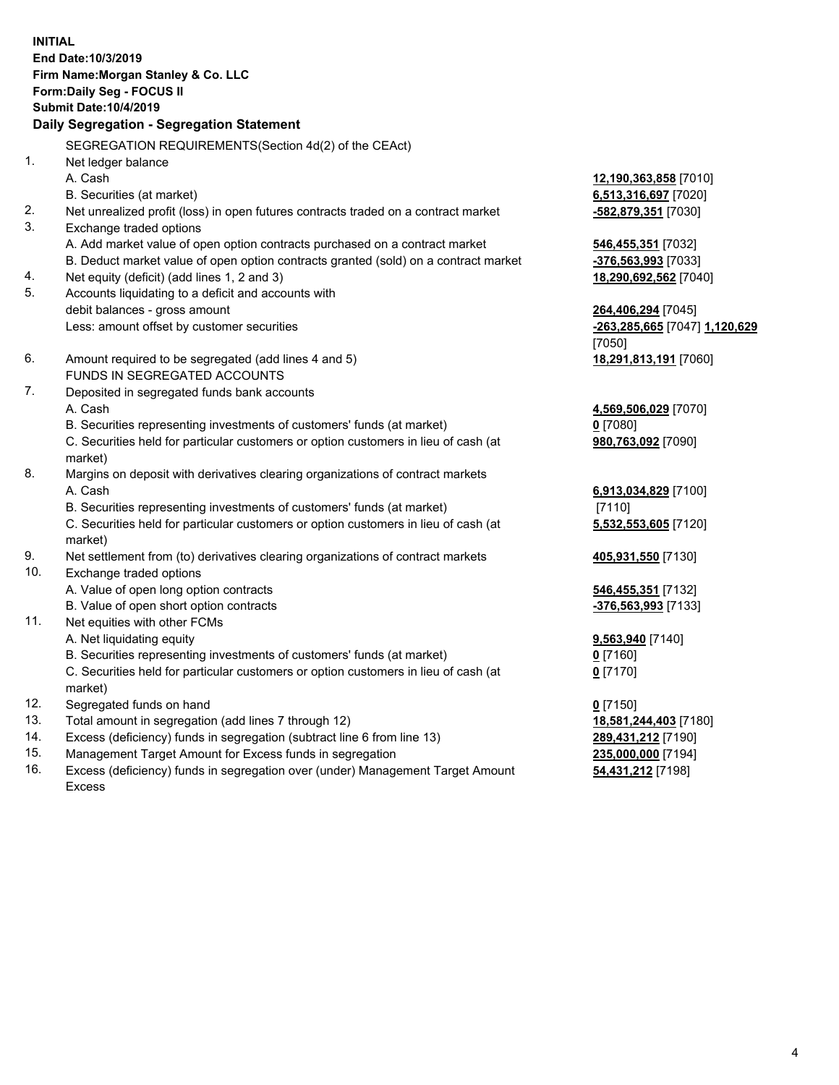**INITIAL End Date:10/3/2019 Firm Name:Morgan Stanley & Co. LLC Form:Daily Seg - FOCUS II Submit Date:10/4/2019 Daily Segregation - Segregation Statement** SEGREGATION REQUIREMENTS(Section 4d(2) of the CEAct) 1. Net ledger balance A. Cash **12,190,363,858** [7010] B. Securities (at market) **6,513,316,697** [7020] 2. Net unrealized profit (loss) in open futures contracts traded on a contract market **-582,879,351** [7030] 3. Exchange traded options A. Add market value of open option contracts purchased on a contract market **546,455,351** [7032] B. Deduct market value of open option contracts granted (sold) on a contract market **-376,563,993** [7033] 4. Net equity (deficit) (add lines 1, 2 and 3) **18,290,692,562** [7040] 5. Accounts liquidating to a deficit and accounts with debit balances - gross amount **264,406,294** [7045] Less: amount offset by customer securities **-263,285,665** [7047] **1,120,629** [7050] 6. Amount required to be segregated (add lines 4 and 5) **18,291,813,191** [7060] FUNDS IN SEGREGATED ACCOUNTS 7. Deposited in segregated funds bank accounts A. Cash **4,569,506,029** [7070] B. Securities representing investments of customers' funds (at market) **0** [7080] C. Securities held for particular customers or option customers in lieu of cash (at market) **980,763,092** [7090] 8. Margins on deposit with derivatives clearing organizations of contract markets A. Cash **6,913,034,829** [7100] B. Securities representing investments of customers' funds (at market) [7110] C. Securities held for particular customers or option customers in lieu of cash (at market) **5,532,553,605** [7120] 9. Net settlement from (to) derivatives clearing organizations of contract markets **405,931,550** [7130] 10. Exchange traded options A. Value of open long option contracts **546,455,351** [7132] B. Value of open short option contracts **-376,563,993** [7133] 11. Net equities with other FCMs A. Net liquidating equity **9,563,940** [7140] B. Securities representing investments of customers' funds (at market) **0** [7160] C. Securities held for particular customers or option customers in lieu of cash (at market) **0** [7170] 12. Segregated funds on hand **0** [7150] 13. Total amount in segregation (add lines 7 through 12) **18,581,244,403** [7180] 14. Excess (deficiency) funds in segregation (subtract line 6 from line 13) **289,431,212** [7190]

- 15. Management Target Amount for Excess funds in segregation **235,000,000** [7194]
- 16. Excess (deficiency) funds in segregation over (under) Management Target Amount Excess

**54,431,212** [7198]